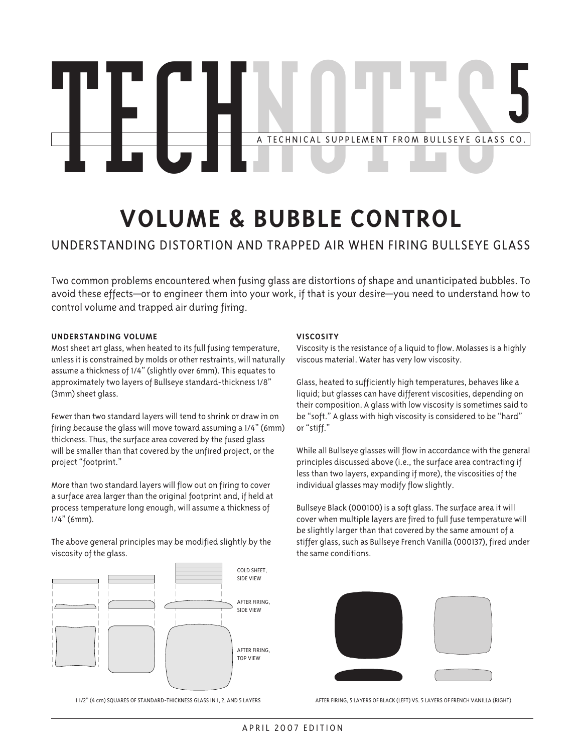# A TECHNICAL SUPPLEMENT FROM BULLSEYE GLASS CO. **5 TECHNICAL SUPPLEMENT FROM BULLSEYE GLASS CO.**

## **Volume & bubble control**

### Understanding distortion and trapped air when firing bullseye glass

Two common problems encountered when fusing glass are distortions of shape and unanticipated bubbles. To avoid these effects—or to engineer them into your work, if that is your desire—you need to understand how to control volume and trapped air during firing.

#### **UNDERSTANDING VOLUME**

Most sheet art glass, when heated to its full fusing temperature, unless it is constrained by molds or other restraints, will naturally assume a thickness of 1/4" (slightly over 6mm). This equates to approximately two layers of Bullseye standard-thickness 1/8" (3mm) sheet glass.

Fewer than two standard layers will tend to shrink or draw in on firing because the glass will move toward assuming a 1/4" (6mm) thickness. Thus, the surface area covered by the fused glass will be smaller than that covered by the unfired project, or the project "footprint."

More than two standard layers will flow out on firing to cover a surface area larger than the original footprint and, if held at process temperature long enough, will assume a thickness of 1/4" (6mm).

The above general principles may be modified slightly by the viscosity of the glass.



1 1/2" (4 cm) squares of standard-thickness glass in 1, 2, and 5 layers

#### **VISCOSITY**

Viscosity is the resistance of a liquid to flow. Molasses is a highly viscous material. Water has very low viscosity.

Glass, heated to sufficiently high temperatures, behaves like a liquid; but glasses can have different viscosities, depending on their composition. A glass with low viscosity is sometimes said to be "soft." A glass with high viscosity is considered to be "hard" or "stiff."

While all Bullseye glasses will flow in accordance with the general principles discussed above (i.e., the surface area contracting if less than two layers, expanding if more), the viscosities of the individual glasses may modify flow slightly.

Bullseye Black (000100) is a soft glass. The surface area it will cover when multiple layers are fired to full fuse temperature will be slightly larger than that covered by the same amount of a stiffer glass, such as Bullseye French Vanilla (000137), fired under the same conditions.



After firing, 5 layers of Black (left) vs. 5 layers of French Vanilla (right)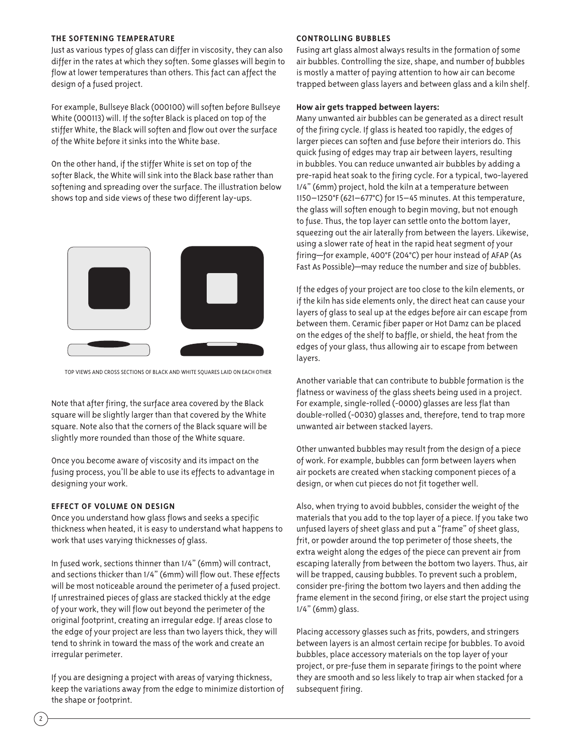#### **the SOFTENING TEMPERATURE**

Just as various types of glass can differ in viscosity, they can also differ in the rates at which they soften. Some glasses will begin to flow at lower temperatures than others. This fact can affect the design of a fused project.

For example, Bullseye Black (000100) will soften before Bullseye White (000113) will. If the softer Black is placed on top of the stiffer White, the Black will soften and flow out over the surface of the White before it sinks into the White base.

On the other hand, if the stiffer White is set on top of the softer Black, the White will sink into the Black base rather than softening and spreading over the surface. The illustration below shows top and side views of these two different lay-ups.



Top views and cross sections of Black and White squares laid on each other

Note that after firing, the surface area covered by the Black square will be slightly larger than that covered by the White square. Note also that the corners of the Black square will be slightly more rounded than those of the White square.

Once you become aware of viscosity and its impact on the fusing process, you'll be able to use its effects to advantage in designing your work.

#### **EFFECT OF VOLUME on DESIGN**

Once you understand how glass flows and seeks a specific thickness when heated, it is easy to understand what happens to work that uses varying thicknesses of glass.

In fused work, sections thinner than 1/4" (6mm) will contract, and sections thicker than 1/4" (6mm) will flow out. These effects will be most noticeable around the perimeter of a fused project. If unrestrained pieces of glass are stacked thickly at the edge of your work, they will flow out beyond the perimeter of the original footprint, creating an irregular edge. If areas close to the edge of your project are less than two layers thick, they will tend to shrink in toward the mass of the work and create an irregular perimeter.

If you are designing a project with areas of varying thickness, keep the variations away from the edge to minimize distortion of the shape or footprint.

#### **CONTROLLING BUBBLES**

Fusing art glass almost always results in the formation of some air bubbles. Controlling the size, shape, and number of bubbles is mostly a matter of paying attention to how air can become trapped between glass layers and between glass and a kiln shelf.

#### **How air gets trapped between layers:**

Many unwanted air bubbles can be generated as a direct result of the firing cycle. If glass is heated too rapidly, the edges of larger pieces can soften and fuse before their interiors do. This quick fusing of edges may trap air between layers, resulting in bubbles. You can reduce unwanted air bubbles by adding a pre-rapid heat soak to the firing cycle. For a typical, two-layered 1/4" (6mm) project, hold the kiln at a temperature between 1150–1250°F (621–677°C) for 15–45 minutes. At this temperature, the glass will soften enough to begin moving, but not enough to fuse. Thus, the top layer can settle onto the bottom layer, squeezing out the air laterally from between the layers. Likewise, using a slower rate of heat in the rapid heat segment of your firing—for example, 400°F (204°C) per hour instead of AFAP (As Fast As Possible)—may reduce the number and size of bubbles.

If the edges of your project are too close to the kiln elements, or if the kiln has side elements only, the direct heat can cause your layers of glass to seal up at the edges before air can escape from between them. Ceramic fiber paper or Hot Damz can be placed on the edges of the shelf to baffle, or shield, the heat from the edges of your glass, thus allowing air to escape from between layers.

Another variable that can contribute to bubble formation is the flatness or waviness of the glass sheets being used in a project. For example, single-rolled (-0000) glasses are less flat than double-rolled (-0030) glasses and, therefore, tend to trap more unwanted air between stacked layers.

Other unwanted bubbles may result from the design of a piece of work. For example, bubbles can form between layers when air pockets are created when stacking component pieces of a design, or when cut pieces do not fit together well.

Also, when trying to avoid bubbles, consider the weight of the materials that you add to the top layer of a piece. If you take two unfused layers of sheet glass and put a "frame" of sheet glass, frit, or powder around the top perimeter of those sheets, the extra weight along the edges of the piece can prevent air from escaping laterally from between the bottom two layers. Thus, air will be trapped, causing bubbles. To prevent such a problem, consider pre-firing the bottom two layers and then adding the frame element in the second firing, or else start the project using 1/4" (6mm) glass.

Placing accessory glasses such as frits, powders, and stringers between layers is an almost certain recipe for bubbles. To avoid bubbles, place accessory materials on the top layer of your project, or pre-fuse them in separate firings to the point where they are smooth and so less likely to trap air when stacked for a subsequent firing.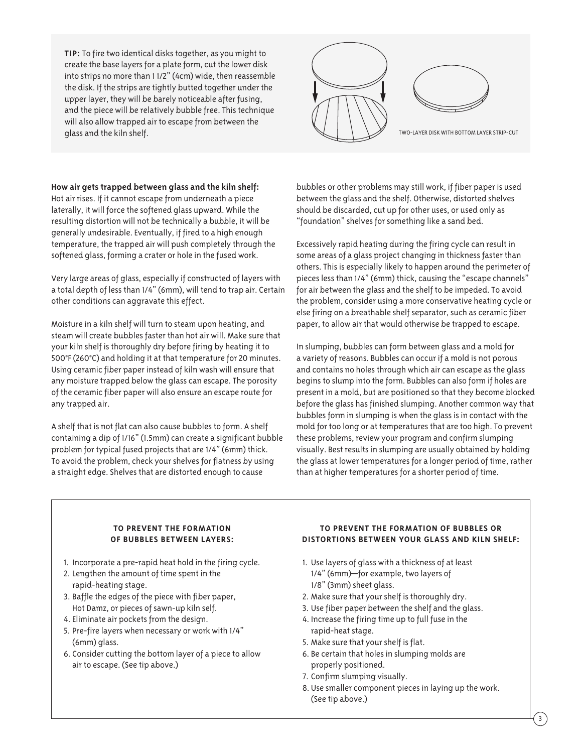**TIP:** To fire two identical disks together, as you might to create the base layers for a plate form, cut the lower disk into strips no more than 1 1/2" (4cm) wide, then reassemble the disk. If the strips are tightly butted together under the upper layer, they will be barely noticeable after fusing, and the piece will be relatively bubble free. This technique will also allow trapped air to escape from between the



**How air gets trapped between glass and the kiln shelf:** Hot air rises. If it cannot escape from underneath a piece laterally, it will force the softened glass upward. While the resulting distortion will not be technically a bubble, it will be generally undesirable. Eventually, if fired to a high enough temperature, the trapped air will push completely through the softened glass, forming a crater or hole in the fused work.

Very large areas of glass, especially if constructed of layers with a total depth of less than 1/4" (6mm), will tend to trap air. Certain other conditions can aggravate this effect.

Moisture in a kiln shelf will turn to steam upon heating, and steam will create bubbles faster than hot air will. Make sure that your kiln shelf is thoroughly dry before firing by heating it to 500°F (260°C) and holding it at that temperature for 20 minutes. Using ceramic fiber paper instead of kiln wash will ensure that any moisture trapped below the glass can escape. The porosity of the ceramic fiber paper will also ensure an escape route for any trapped air.

A shelf that is not flat can also cause bubbles to form. A shelf containing a dip of 1/16" (1.5mm) can create a significant bubble problem for typical fused projects that are 1/4" (6mm) thick. To avoid the problem, check your shelves for flatness by using a straight edge. Shelves that are distorted enough to cause

bubbles or other problems may still work, if fiber paper is used between the glass and the shelf. Otherwise, distorted shelves should be discarded, cut up for other uses, or used only as "foundation" shelves for something like a sand bed.

Excessively rapid heating during the firing cycle can result in some areas of a glass project changing in thickness faster than others. This is especially likely to happen around the perimeter of pieces less than 1/4" (6mm) thick, causing the "escape channels" for air between the glass and the shelf to be impeded. To avoid the problem, consider using a more conservative heating cycle or else firing on a breathable shelf separator, such as ceramic fiber paper, to allow air that would otherwise be trapped to escape.

In slumping, bubbles can form between glass and a mold for a variety of reasons. Bubbles can occur if a mold is not porous and contains no holes through which air can escape as the glass begins to slump into the form. Bubbles can also form if holes are present in a mold, but are positioned so that they become blocked before the glass has finished slumping. Another common way that bubbles form in slumping is when the glass is in contact with the mold for too long or at temperatures that are too high. To prevent these problems, review your program and confirm slumping visually. Best results in slumping are usually obtained by holding the glass at lower temperatures for a longer period of time, rather than at higher temperatures for a shorter period of time.

#### **to prevent the formation of bubbles between layers:**

- 1. Incorporate a pre-rapid heat hold in the firing cycle.
- 2. Lengthen the amount of time spent in the rapid-heating stage.
- 3. Baffle the edges of the piece with fiber paper, Hot Damz, or pieces of sawn-up kiln self.
- 4. Eliminate air pockets from the design.
- 5. Pre-fire layers when necessary or work with 1/4" (6mm) glass.
- 6. Consider cutting the bottom layer of a piece to allow air to escape. (See tip above.)

#### **to prevent the formation of bubbles or distortions between your glass and kiln shelf:**

- 1. Use layers of glass with a thickness of at least 1/4" (6mm)—for example, two layers of 1/8" (3mm) sheet glass.
- 2. Make sure that your shelf is thoroughly dry.
- 3. Use fiber paper between the shelf and the glass.
- 4. Increase the firing time up to full fuse in the rapid-heat stage.
- 5. Make sure that your shelf is flat.
- 6. Be certain that holes in slumping molds are properly positioned.
- 7. Confirm slumping visually.
- 8. Use smaller component pieces in laying up the work. (See tip above.)